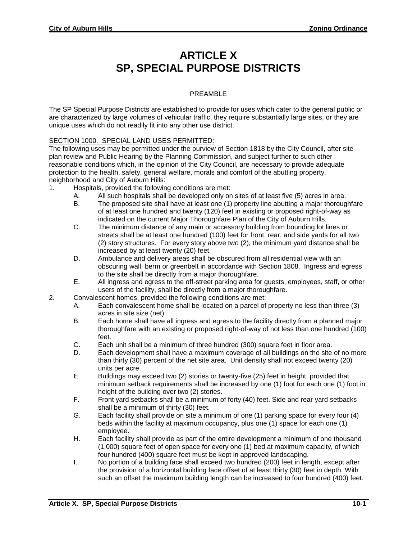## **ARTICLE X SP, SPECIAL PURPOSE DISTRICTS**

## PREAMBLE

The SP Special Purpose Districts are established to provide for uses which cater to the general public or are characterized by large volumes of vehicular traffic, they require substantially large sites, or they are unique uses which do not readily fit into any other use district.

## SECTION 1000. SPECIAL LAND USES PERMITTED:

The following uses may be permitted under the purview of Section 1818 by the City Council, after site plan review and Public Hearing by the Planning Commission, and subject further to such other reasonable conditions which, in the opinion of the City Council, are necessary to provide adequate protection to the health, safety, general welfare, morals and comfort of the abutting property, neighborhood and City of Auburn Hills:

- 1. Hospitals, provided the following conditions are met:
	- A. All such hospitals shall be developed only on sites of at least five (5) acres in area.
	- B. The proposed site shall have at least one (1) property line abutting a major thoroughfare of at least one hundred and twenty (120) feet in existing or proposed right-of-way as indicated on the current Major Thoroughfare Plan of the City of Auburn Hills.
	- C. The minimum distance of any main or accessory building from bounding lot lines or streets shall be at least one hundred (100) feet for front, rear, and side yards for all two (2) story structures. For every story above two (2), the minimum yard distance shall be increased by at least twenty (20) feet.
	- D. Ambulance and delivery areas shall be obscured from all residential view with an obscuring wall, berm or greenbelt in accordance with Section 1808. Ingress and egress to the site shall be directly from a major thoroughfare.
	- E. All ingress and egress to the off-street parking area for guests, employees, staff, or other users of the facility, shall be directly from a major thoroughfare.
- 2. Convalescent homes, provided the following conditions are met:
	- A. Each convalescent home shall be located on a parcel of property no less than three (3) acres in site size (net).
	- B. Each home shall have all ingress and egress to the facility directly from a planned major thoroughfare with an existing or proposed right-of-way of not less than one hundred (100) feet.
	- C. Each unit shall be a minimum of three hundred (300) square feet in floor area.
	- D. Each development shall have a maximum coverage of all buildings on the site of no more than thirty (30) percent of the net site area. Unit density shall not exceed twenty (20) units per acre.
	- E. Buildings may exceed two (2) stories or twenty-five (25) feet in height, provided that minimum setback requirements shall be increased by one (1) foot for each one (1) foot in height of the building over two (2) stories.
	- F. Front yard setbacks shall be a minimum of forty (40) feet. Side and rear yard setbacks shall be a minimum of thirty (30) feet.
	- G. Each facility shall provide on site a minimum of one (1) parking space for every four (4) beds within the facility at maximum occupancy, plus one (1) space for each one (1) employee.
	- H. Each facility shall provide as part of the entire development a minimum of one thousand (1,000) square feet of open space for every one (1) bed at maximum capacity, of which four hundred (400) square feet must be kept in approved landscaping.
	- I. No portion of a building face shall exceed two hundred (200) feet in length, except after the provision of a horizontal building face offset of at least thirty (30) feet in depth. With such an offset the maximum building length can be increased to four hundred (400) feet.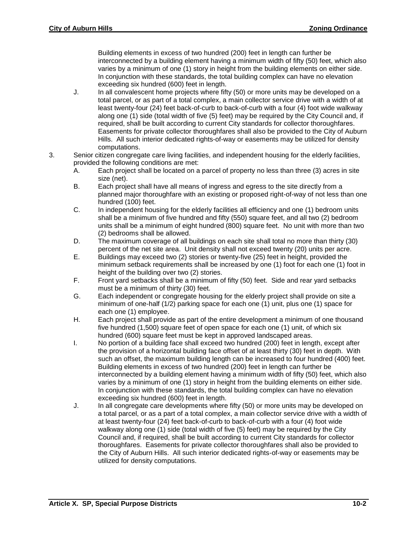Building elements in excess of two hundred (200) feet in length can further be interconnected by a building element having a minimum width of fifty (50) feet, which also varies by a minimum of one (1) story in height from the building elements on either side. In conjunction with these standards, the total building complex can have no elevation exceeding six hundred (600) feet in length.

- J. In all convalescent home projects where fifty (50) or more units may be developed on a total parcel, or as part of a total complex, a main collector service drive with a width of at least twenty-four (24) feet back-of-curb to back-of-curb with a four (4) foot wide walkway along one (1) side (total width of five (5) feet) may be required by the City Council and, if required, shall be built according to current City standards for collector thoroughfares. Easements for private collector thoroughfares shall also be provided to the City of Auburn Hills. All such interior dedicated rights-of-way or easements may be utilized for density computations.
- 3. Senior citizen congregate care living facilities, and independent housing for the elderly facilities, provided the following conditions are met:
	- A. Each project shall be located on a parcel of property no less than three (3) acres in site size (net).
	- B. Each project shall have all means of ingress and egress to the site directly from a planned major thoroughfare with an existing or proposed right-of-way of not less than one hundred (100) feet.
	- C. In independent housing for the elderly facilities all efficiency and one (1) bedroom units shall be a minimum of five hundred and fifty (550) square feet, and all two (2) bedroom units shall be a minimum of eight hundred (800) square feet. No unit with more than two (2) bedrooms shall be allowed.
	- D. The maximum coverage of all buildings on each site shall total no more than thirty (30) percent of the net site area. Unit density shall not exceed twenty (20) units per acre.
	- E. Buildings may exceed two (2) stories or twenty-five (25) feet in height, provided the minimum setback requirements shall be increased by one (1) foot for each one (1) foot in height of the building over two (2) stories.
	- F. Front yard setbacks shall be a minimum of fifty (50) feet. Side and rear yard setbacks must be a minimum of thirty (30) feet.
	- G. Each independent or congregate housing for the elderly project shall provide on site a minimum of one-half (1/2) parking space for each one (1) unit, plus one (1) space for each one (1) employee.
	- H. Each project shall provide as part of the entire development a minimum of one thousand five hundred (1,500) square feet of open space for each one (1) unit, of which six hundred (600) square feet must be kept in approved landscaped areas.
	- I. No portion of a building face shall exceed two hundred (200) feet in length, except after the provision of a horizontal building face offset of at least thirty (30) feet in depth. With such an offset, the maximum building length can be increased to four hundred (400) feet. Building elements in excess of two hundred (200) feet in length can further be interconnected by a building element having a minimum width of fifty (50) feet, which also varies by a minimum of one (1) story in height from the building elements on either side. In conjunction with these standards, the total building complex can have no elevation exceeding six hundred (600) feet in length.
	- J. In all congregate care developments where fifty (50) or more units may be developed on a total parcel, or as a part of a total complex, a main collector service drive with a width of at least twenty-four (24) feet back-of-curb to back-of-curb with a four (4) foot wide walkway along one (1) side (total width of five (5) feet) may be required by the City Council and, if required, shall be built according to current City standards for collector thoroughfares. Easements for private collector thoroughfares shall also be provided to the City of Auburn Hills. All such interior dedicated rights-of-way or easements may be utilized for density computations.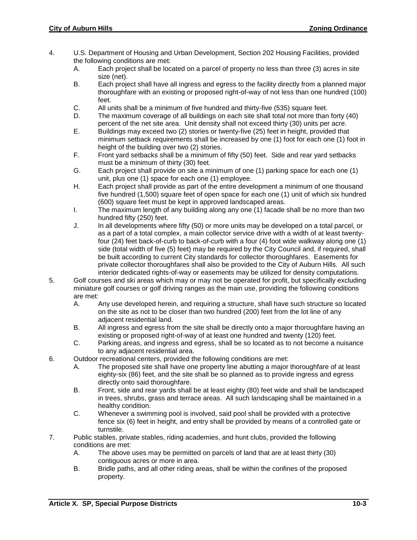- 4. U.S. Department of Housing and Urban Development, Section 202 Housing Facilities, provided the following conditions are met:
	- A. Each project shall be located on a parcel of property no less than three (3) acres in site size (net).
	- B. Each project shall have all ingress and egress to the facility directly from a planned major thoroughfare with an existing or proposed right-of-way of not less than one hundred (100) feet.
	- C. All units shall be a minimum of five hundred and thirty-five (535) square feet.
	- D. The maximum coverage of all buildings on each site shall total not more than forty (40) percent of the net site area. Unit density shall not exceed thirty (30) units per acre.
	- E. Buildings may exceed two (2) stories or twenty-five (25) feet in height, provided that minimum setback requirements shall be increased by one (1) foot for each one (1) foot in height of the building over two (2) stories.
	- F. Front yard setbacks shall be a minimum of fifty (50) feet. Side and rear yard setbacks must be a minimum of thirty (30) feet.
	- G. Each project shall provide on site a minimum of one (1) parking space for each one (1) unit, plus one (1) space for each one (1) employee.
	- H. Each project shall provide as part of the entire development a minimum of one thousand five hundred (1,500) square feet of open space for each one (1) unit of which six hundred (600) square feet must be kept in approved landscaped areas.
	- I. The maximum length of any building along any one (1) facade shall be no more than two hundred fifty (250) feet.
	- J. In all developments where fifty (50) or more units may be developed on a total parcel, or as a part of a total complex, a main collector service drive with a width of at least twentyfour (24) feet back-of-curb to back-of-curb with a four (4) foot wide walkway along one (1) side (total width of five (5) feet) may be required by the City Council and, if required, shall be built according to current City standards for collector thoroughfares. Easements for private collector thoroughfares shall also be provided to the City of Auburn Hills. All such interior dedicated rights-of-way or easements may be utilized for density computations.
- 5. Golf courses and ski areas which may or may not be operated for profit, but specifically excluding miniature golf courses or golf driving ranges as the main use, providing the following conditions are met:
	- A. Any use developed herein, and requiring a structure, shall have such structure so located on the site as not to be closer than two hundred (200) feet from the lot line of any adjacent residential land.
	- B. All ingress and egress from the site shall be directly onto a major thoroughfare having an existing or proposed right-of-way of at least one hundred and twenty (120) feet.
	- C. Parking areas, and ingress and egress, shall be so located as to not become a nuisance to any adjacent residential area.
- 6. Outdoor recreational centers, provided the following conditions are met:
	- A. The proposed site shall have one property line abutting a major thoroughfare of at least eighty-six (86) feet, and the site shall be so planned as to provide ingress and egress directly onto said thoroughfare.
	- B. Front, side and rear yards shall be at least eighty (80) feet wide and shall be landscaped in trees, shrubs, grass and terrace areas. All such landscaping shall be maintained in a healthy condition.
	- C. Whenever a swimming pool is involved, said pool shall be provided with a protective fence six (6) feet in height, and entry shall be provided by means of a controlled gate or turnstile.
- 7. Public stables, private stables, riding academies, and hunt clubs, provided the following conditions are met:
	- A. The above uses may be permitted on parcels of land that are at least thirty (30) contiguous acres or more in area.
	- B. Bridle paths, and all other riding areas, shall be within the confines of the proposed property.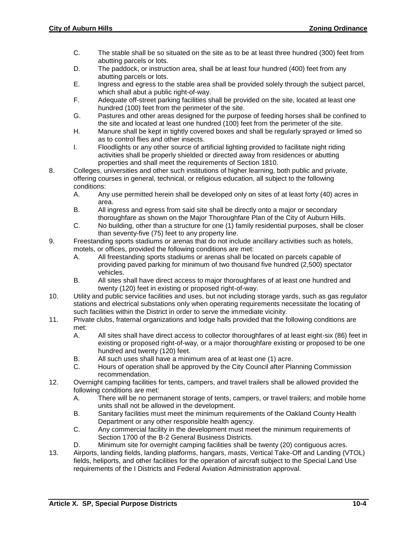- C. The stable shall be so situated on the site as to be at least three hundred (300) feet from abutting parcels or lots.
- D. The paddock, or instruction area, shall be at least four hundred (400) feet from any abutting parcels or lots.
- E. Ingress and egress to the stable area shall be provided solely through the subject parcel, which shall abut a public right-of-way.
- F. Adequate off-street parking facilities shall be provided on the site, located at least one hundred (100) feet from the perimeter of the site.
- G. Pastures and other areas designed for the purpose of feeding horses shall be confined to the site and located at least one hundred (100) feet from the perimeter of the site.
- H. Manure shall be kept in tightly covered boxes and shall be regularly sprayed or limed so as to control flies and other insects.
- I. Floodlights or any other source of artificial lighting provided to facilitate night riding activities shall be properly shielded or directed away from residences or abutting properties and shall meet the requirements of Section 1810.
- 8. Colleges, universities and other such institutions of higher learning, both public and private, offering courses in general, technical, or religious education, all subject to the following conditions:
	- A. Any use permitted herein shall be developed only on sites of at least forty (40) acres in area.
	- B. All ingress and egress from said site shall be directly onto a major or secondary thoroughfare as shown on the Major Thoroughfare Plan of the City of Auburn Hills.
	- C. No building, other than a structure for one (1) family residential purposes, shall be closer than seventy-five (75) feet to any property line.
- 9. Freestanding sports stadiums or arenas that do not include ancillary activities such as hotels, motels, or offices, provided the following conditions are met:
	- A. All freestanding sports stadiums or arenas shall be located on parcels capable of providing paved parking for minimum of two thousand five hundred (2,500) spectator vehicles.
	- B. All sites shall have direct access to major thoroughfares of at least one hundred and twenty (120) feet in existing or proposed right-of-way.
- 10. Utility and public service facilities and uses, but not including storage yards, such as gas regulator stations and electrical substations only when operating requirements necessitate the locating of such facilities within the District in order to serve the immediate vicinity.
- 11. Private clubs, fraternal organizations and lodge halls provided that the following conditions are met:
	- A. All sites shall have direct access to collector thoroughfares of at least eight-six (86) feet in existing or proposed right-of-way, or a major thoroughfare existing or proposed to be one hundred and twenty (120) feet.
	- B. All such uses shall have a minimum area of at least one (1) acre.
	- C. Hours of operation shall be approved by the City Council after Planning Commission recommendation.
- 12. Overnight camping facilities for tents, campers, and travel trailers shall be allowed provided the following conditions are met:
	- A. There will be no permanent storage of tents, campers, or travel trailers; and mobile home units shall not be allowed in the development.
	- B. Sanitary facilities must meet the minimum requirements of the Oakland County Health Department or any other responsible health agency.
	- C. Any commercial facility in the development must meet the minimum requirements of Section 1700 of the B-2 General Business Districts.
	- D. Minimum site for overnight camping facilities shall be twenty (20) contiguous acres.
- 13. Airports, landing fields, landing platforms, hangars, masts, Vertical Take-Off and Landing (VTOL) fields, heliports, and other facilities for the operation of aircraft subject to the Special Land Use requirements of the I Districts and Federal Aviation Administration approval.